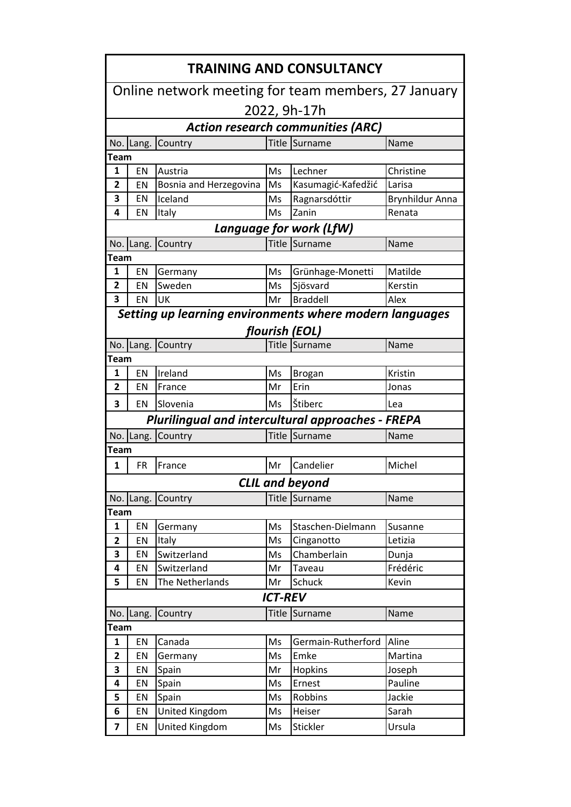| <b>TRAINING AND CONSULTANCY</b>                     |                        |                                                          |                |                    |                        |  |  |  |  |  |
|-----------------------------------------------------|------------------------|----------------------------------------------------------|----------------|--------------------|------------------------|--|--|--|--|--|
| Online network meeting for team members, 27 January |                        |                                                          |                |                    |                        |  |  |  |  |  |
| 2022, 9h-17h                                        |                        |                                                          |                |                    |                        |  |  |  |  |  |
| <b>Action research communities (ARC)</b>            |                        |                                                          |                |                    |                        |  |  |  |  |  |
|                                                     | No. Lang.              | Country                                                  |                | Title Surname      | Name                   |  |  |  |  |  |
| Team                                                |                        |                                                          |                |                    |                        |  |  |  |  |  |
| 1                                                   | EN                     | Austria                                                  | Ms             | Lechner            | Christine              |  |  |  |  |  |
| 2                                                   | EN                     | Bosnia and Herzegovina                                   | Ms             | Kasumagić-Kafedžić | Larisa                 |  |  |  |  |  |
| 3                                                   | EN                     | Iceland                                                  | Ms             | Ragnarsdóttir      | <b>Brynhildur Anna</b> |  |  |  |  |  |
| 4                                                   | EN                     | Italy                                                    | Ms             | Zanin              | Renata                 |  |  |  |  |  |
| Language for work (LfW)                             |                        |                                                          |                |                    |                        |  |  |  |  |  |
|                                                     | No. Lang.              | Country                                                  | Title          | Surname            | Name                   |  |  |  |  |  |
| Team                                                |                        |                                                          |                |                    |                        |  |  |  |  |  |
| $\mathbf{1}$                                        | EN                     | Germany                                                  | Ms             | Grünhage-Monetti   | Matilde                |  |  |  |  |  |
| 2                                                   | EN                     | Sweden                                                   | Ms             | Sjösvard           | Kerstin                |  |  |  |  |  |
| 3                                                   | EN                     | UK                                                       | Mr             | <b>Braddell</b>    | Alex                   |  |  |  |  |  |
|                                                     |                        | Setting up learning environments where modern languages  |                |                    |                        |  |  |  |  |  |
|                                                     |                        |                                                          |                | flourish (EOL)     |                        |  |  |  |  |  |
| No.                                                 | Lang.                  | Country                                                  | Title          | Surname            | Name                   |  |  |  |  |  |
| <b>Team</b>                                         |                        |                                                          |                |                    |                        |  |  |  |  |  |
| 1                                                   | EN                     | Ireland                                                  | Ms             | <b>Brogan</b>      | Kristin                |  |  |  |  |  |
| 2                                                   | EN                     | France                                                   | Mr             | Erin               | Jonas                  |  |  |  |  |  |
| 3                                                   | EN                     | Slovenia                                                 | Ms             | Štiberc            | Lea                    |  |  |  |  |  |
|                                                     |                        | <b>Plurilingual and intercultural approaches - FREPA</b> |                |                    |                        |  |  |  |  |  |
| No.                                                 | Lang.                  | Country                                                  | <b>Title</b>   | Surname            | Name                   |  |  |  |  |  |
| Team                                                |                        |                                                          |                |                    |                        |  |  |  |  |  |
| 1                                                   | <b>FR</b>              | France                                                   | Mr             | Candelier          | Michel                 |  |  |  |  |  |
|                                                     | <b>CLIL and beyond</b> |                                                          |                |                    |                        |  |  |  |  |  |
|                                                     | No. Lang.              | Country                                                  | Title          | Surname            | Name                   |  |  |  |  |  |
| <b>Team</b>                                         |                        |                                                          |                |                    |                        |  |  |  |  |  |
| $\mathbf{1}$                                        | EN                     | Germany                                                  | Ms             | Staschen-Dielmann  | Susanne                |  |  |  |  |  |
| $\mathbf{2}$                                        | EN                     | Italy                                                    | Ms             | Cinganotto         | Letizia                |  |  |  |  |  |
| 3                                                   | EN                     | Switzerland                                              | Ms             | Chamberlain        | Dunja                  |  |  |  |  |  |
| 4                                                   | EN                     | Switzerland                                              | Mr             | Taveau             | Frédéric               |  |  |  |  |  |
| 5                                                   | EN                     | The Netherlands                                          | Mr             | Schuck             | Kevin                  |  |  |  |  |  |
|                                                     |                        |                                                          | <b>ICT-REV</b> |                    |                        |  |  |  |  |  |
|                                                     | No. Lang.              | Country                                                  |                | Title Surname      | Name                   |  |  |  |  |  |
| <b>Team</b>                                         |                        |                                                          |                |                    |                        |  |  |  |  |  |
| $\mathbf{1}$                                        | EN                     | Canada                                                   | Ms             | Germain-Rutherford | Aline                  |  |  |  |  |  |
| $\mathbf{2}$                                        | EN                     | Germany                                                  | Ms             | Emke               | Martina                |  |  |  |  |  |
| 3                                                   | EN                     | Spain                                                    | Mr             | Hopkins            | Joseph                 |  |  |  |  |  |
| 4                                                   | EN                     | Spain                                                    | Ms             | Ernest             | Pauline                |  |  |  |  |  |
| 5                                                   | EN                     | Spain                                                    | Ms             | Robbins            | Jackie                 |  |  |  |  |  |
| 6                                                   | EN                     | United Kingdom                                           | Ms             | Heiser             | Sarah                  |  |  |  |  |  |
| 7                                                   | EN                     | United Kingdom                                           | Ms             | Stickler           | Ursula                 |  |  |  |  |  |